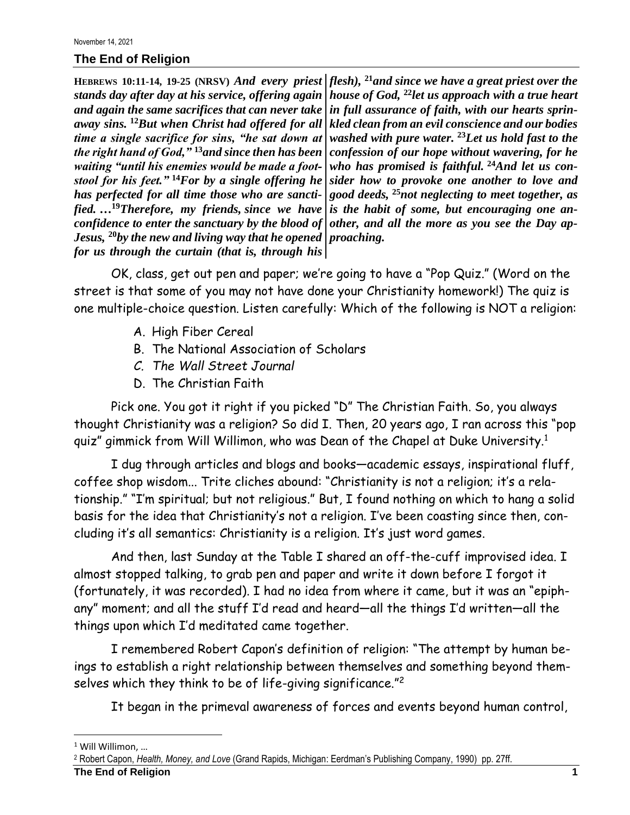## **The End of Religion**

*stands day after day at his service, offering again and again the same sacrifices that can never take away sins.* **<sup>12</sup>***But when Christ had offered for all time a single sacrifice for sins, "he sat down at the right hand of God,"* **<sup>13</sup>***and since then has been waiting "until his enemies would be made a footstool for his feet."* **<sup>14</sup>***For by a single offering he has perfected for all time those who are sanctified. …***<sup>19</sup>***Therefore, my friends, since we have confidence to enter the sanctuary by the blood of Jesus,* **<sup>20</sup>***by the new and living way that he opened for us through the curtain (that is, through his* 

**HEBREWS 10:11-14, 19-25 (NRSV)** *And every priest flesh),* **<sup>21</sup>***and since we have a great priest over the house of God,* **<sup>22</sup>***let us approach with a true heart in full assurance of faith, with our hearts sprinkled clean from an evil conscience and our bodies washed with pure water.* **<sup>23</sup>***Let us hold fast to the confession of our hope without wavering, for he who has promised is faithful.* **<sup>24</sup>***And let us consider how to provoke one another to love and good deeds,* **<sup>25</sup>***not neglecting to meet together, as is the habit of some, but encouraging one another, and all the more as you see the Day approaching.*

OK, class, get out pen and paper; we're going to have a "Pop Quiz." (Word on the street is that some of you may not have done your Christianity homework!) The quiz is one multiple-choice question. Listen carefully: Which of the following is NOT a religion:

- A. High Fiber Cereal
- B. The National Association of Scholars
- *C. The Wall Street Journal*
- D. The Christian Faith

Pick one. You got it right if you picked "D" The Christian Faith. So, you always thought Christianity was a religion? So did I. Then, 20 years ago, I ran across this "pop quiz" gimmick from Will Willimon, who was Dean of the Chapel at Duke University.<sup>1</sup>

I dug through articles and blogs and books—academic essays, inspirational fluff, coffee shop wisdom... Trite cliches abound: "Christianity is not a religion; it's a relationship." "I'm spiritual; but not religious." But, I found nothing on which to hang a solid basis for the idea that Christianity's not a religion. I've been coasting since then, concluding it's all semantics: Christianity is a religion. It's just word games.

And then, last Sunday at the Table I shared an off-the-cuff improvised idea. I almost stopped talking, to grab pen and paper and write it down before I forgot it (fortunately, it was recorded). I had no idea from where it came, but it was an "epiphany" moment; and all the stuff I'd read and heard—all the things I'd written—all the things upon which I'd meditated came together.

I remembered Robert Capon's definition of religion: "The attempt by human beings to establish a right relationship between themselves and something beyond themselves which they think to be of life-giving significance." 2

It began in the primeval awareness of forces and events beyond human control,

<sup>1</sup> Will Willimon, …

<sup>2</sup> Robert Capon, *Health, Money, and Love* (Grand Rapids, Michigan: Eerdman's Publishing Company, 1990) pp. 27ff.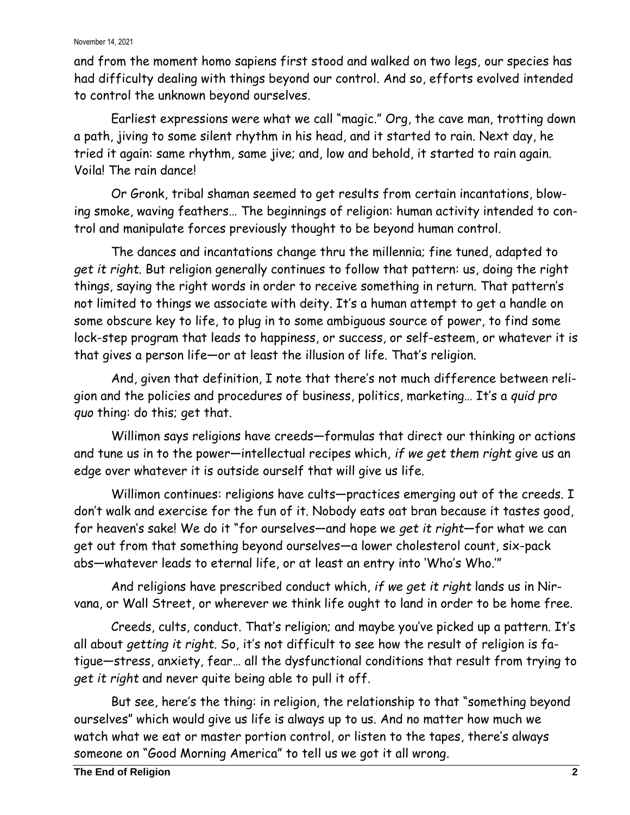## November 14, 2021

and from the moment homo sapiens first stood and walked on two legs, our species has had difficulty dealing with things beyond our control. And so, efforts evolved intended to control the unknown beyond ourselves.

Earliest expressions were what we call "magic." Org, the cave man, trotting down a path, jiving to some silent rhythm in his head, and it started to rain. Next day, he tried it again: same rhythm, same jive; and, low and behold, it started to rain again. Voila! The rain dance!

Or Gronk, tribal shaman seemed to get results from certain incantations, blowing smoke, waving feathers… The beginnings of religion: human activity intended to control and manipulate forces previously thought to be beyond human control.

The dances and incantations change thru the millennia; fine tuned, adapted to *get it right*. But religion generally continues to follow that pattern: us, doing the right things, saying the right words in order to receive something in return. That pattern's not limited to things we associate with deity. It's a human attempt to get a handle on some obscure key to life, to plug in to some ambiguous source of power, to find some lock-step program that leads to happiness, or success, or self-esteem, or whatever it is that gives a person life—or at least the illusion of life. That's religion.

And, given that definition, I note that there's not much difference between religion and the policies and procedures of business, politics, marketing… It's a *quid pro quo* thing: do this; get that.

Willimon says religions have creeds—formulas that direct our thinking or actions and tune us in to the power—intellectual recipes which, *if we get them right* give us an edge over whatever it is outside ourself that will give us life.

Willimon continues: religions have cults—practices emerging out of the creeds. I don't walk and exercise for the fun of it. Nobody eats oat bran because it tastes good, for heaven's sake! We do it "for ourselves—and hope we *get it right*—for what we can get out from that something beyond ourselves—a lower cholesterol count, six-pack abs—whatever leads to eternal life, or at least an entry into 'Who's Who.'"

And religions have prescribed conduct which, *if we get it right* lands us in Nirvana, or Wall Street, or wherever we think life ought to land in order to be home free.

Creeds, cults, conduct. That's religion; and maybe you've picked up a pattern. It's all about *getting it right*. So, it's not difficult to see how the result of religion is fatigue—stress, anxiety, fear… all the dysfunctional conditions that result from trying to *get it right* and never quite being able to pull it off.

But see, here's the thing: in religion, the relationship to that "something beyond ourselves" which would give us life is always up to us. And no matter how much we watch what we eat or master portion control, or listen to the tapes, there's always someone on "Good Morning America" to tell us we got it all wrong.